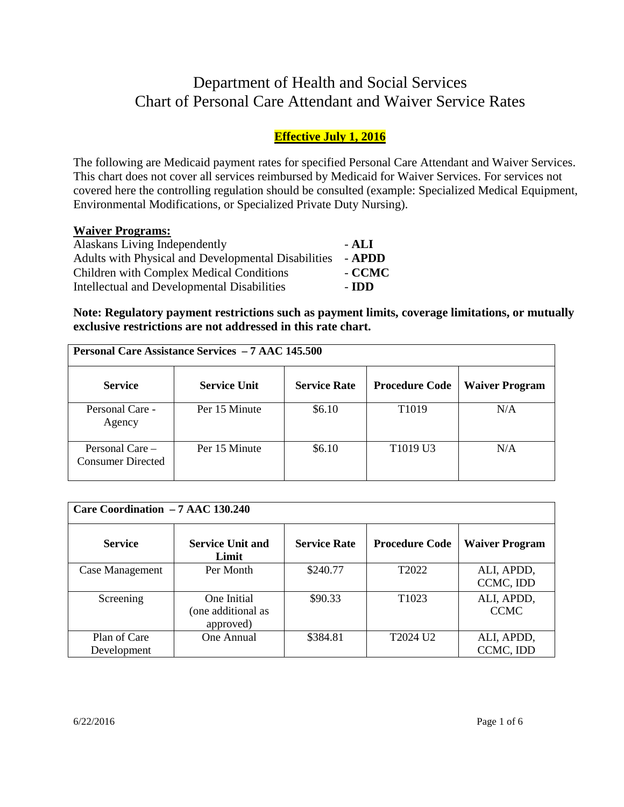# Department of Health and Social Services Chart of Personal Care Attendant and Waiver Service Rates

# **Effective July 1, 2016**

The following are Medicaid payment rates for specified Personal Care Attendant and Waiver Services. This chart does not cover all services reimbursed by Medicaid for Waiver Services. For services not covered here the controlling regulation should be consulted (example: Specialized Medical Equipment, Environmental Modifications, or Specialized Private Duty Nursing).

# **Waiver Programs:**

| Alaskans Living Independently                       | - ALI  |
|-----------------------------------------------------|--------|
| Adults with Physical and Developmental Disabilities | - APDD |
| Children with Complex Medical Conditions            | - CCMC |
| Intellectual and Developmental Disabilities         | - IDD  |

**Note: Regulatory payment restrictions such as payment limits, coverage limitations, or mutually exclusive restrictions are not addressed in this rate chart.** 

| <b>Personal Care Assistance Services - 7 AAC 145.500</b> |                     |                     |                                  |                       |
|----------------------------------------------------------|---------------------|---------------------|----------------------------------|-----------------------|
| <b>Service</b>                                           | <b>Service Unit</b> | <b>Service Rate</b> | <b>Procedure Code</b>            | <b>Waiver Program</b> |
| Personal Care -<br>Agency                                | Per 15 Minute       | \$6.10              | T <sub>1019</sub>                | N/A                   |
| Personal Care $-$<br>Consumer Directed                   | Per 15 Minute       | \$6.10              | T <sub>1019</sub> U <sub>3</sub> | N/A                   |

| Care Coordination - 7 AAC 130.240 |                                                |                     |                       |                           |
|-----------------------------------|------------------------------------------------|---------------------|-----------------------|---------------------------|
| <b>Service</b>                    | <b>Service Unit and</b><br>Limit               | <b>Service Rate</b> | <b>Procedure Code</b> | <b>Waiver Program</b>     |
| Case Management                   | Per Month                                      | \$240.77            | T <sub>2022</sub>     | ALI, APDD,<br>CCMC, IDD   |
| Screening                         | One Initial<br>(one additional as<br>approved) | \$90.33             | T <sub>1023</sub>     | ALI, APDD,<br><b>CCMC</b> |
| Plan of Care<br>Development       | One Annual                                     | \$384.81            | T2024 U2              | ALI, APDD,<br>CCMC, IDD   |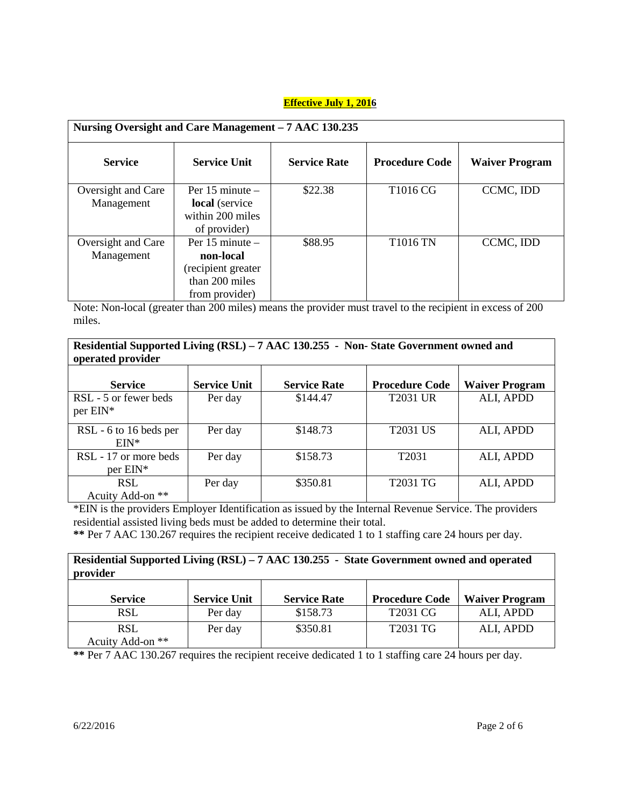| Nursing Oversight and Care Management - 7 AAC 130.235 |                                                                                            |                     |                       |                       |
|-------------------------------------------------------|--------------------------------------------------------------------------------------------|---------------------|-----------------------|-----------------------|
| <b>Service</b>                                        | <b>Service Unit</b>                                                                        | <b>Service Rate</b> | <b>Procedure Code</b> | <b>Waiver Program</b> |
| Oversight and Care<br>Management                      | Per $15$ minute $-$<br>local (service<br>within 200 miles<br>of provider)                  | \$22.38             | T1016 CG              | CCMC, IDD             |
| Oversight and Care<br>Management                      | Per $15$ minute $-$<br>non-local<br>(recipient greater<br>than 200 miles<br>from provider) | \$88.95             | <b>T1016 TN</b>       | CCMC, IDD             |

Note: Non-local (greater than 200 miles) means the provider must travel to the recipient in excess of 200 miles.

| Residential Supported Living (RSL) – 7 AAC 130.255 - Non-State Government owned and<br>operated provider |                     |                     |                       |                       |
|----------------------------------------------------------------------------------------------------------|---------------------|---------------------|-----------------------|-----------------------|
| <b>Service</b>                                                                                           | <b>Service Unit</b> | <b>Service Rate</b> | <b>Procedure Code</b> | <b>Waiver Program</b> |
| RSL - 5 or fewer beds<br>per EIN*                                                                        | Per day             | \$144.47            | <b>T2031 UR</b>       | ALI, APDD             |
| RSL - 6 to 16 beds per<br>$FIN*$                                                                         | Per day             | \$148.73            | <b>T2031 US</b>       | ALI, APDD             |
| RSL - 17 or more beds<br>$per$ EIN*                                                                      | Per day             | \$158.73            | T <sub>2031</sub>     | ALI, APDD             |
| <b>RSL</b><br>Acuity Add-on **                                                                           | Per day             | \$350.81            | T2031 TG              | ALI, APDD             |

\*EIN is the providers Employer Identification as issued by the Internal Revenue Service. The providers residential assisted living beds must be added to determine their total.

**\*\*** Per 7 AAC 130.267 requires the recipient receive dedicated 1 to 1 staffing care 24 hours per day.

| Residential Supported Living (RSL) - 7 AAC 130.255 - State Government owned and operated<br>provider |                     |                     |                       |                       |
|------------------------------------------------------------------------------------------------------|---------------------|---------------------|-----------------------|-----------------------|
| <b>Service</b>                                                                                       | <b>Service Unit</b> | <b>Service Rate</b> | <b>Procedure Code</b> | <b>Waiver Program</b> |
| <b>RSL</b>                                                                                           | Per day             | \$158.73            | T2031 CG              | ALI, APDD             |
| <b>RSL</b><br>Acuity Add-on **                                                                       | Per day             | \$350.81            | T2031 TG              | ALI, APDD             |

**\*\*** Per 7 AAC 130.267 requires the recipient receive dedicated 1 to 1 staffing care 24 hours per day.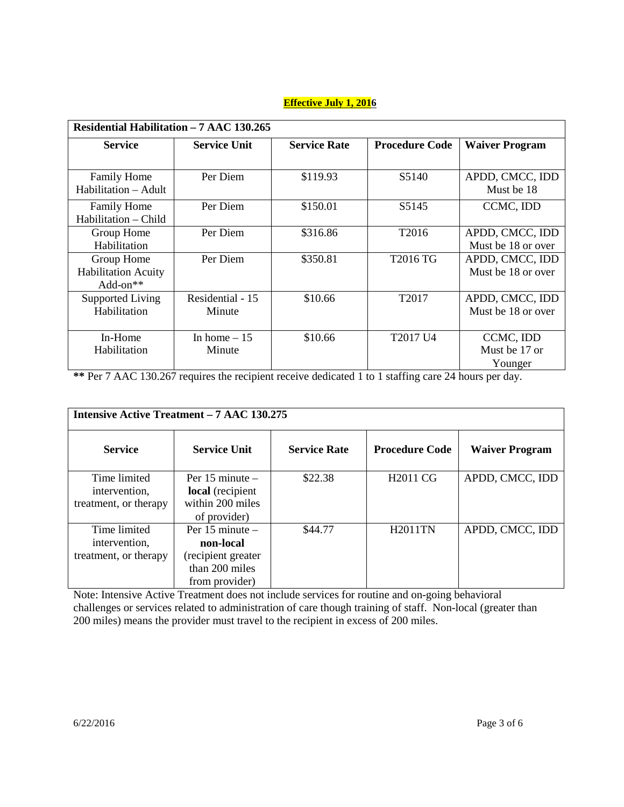|                            | Residential Habilitation - 7 AAC 130.265 |                     |                       |                       |  |
|----------------------------|------------------------------------------|---------------------|-----------------------|-----------------------|--|
| <b>Service</b>             | <b>Service Unit</b>                      | <b>Service Rate</b> | <b>Procedure Code</b> | <b>Waiver Program</b> |  |
|                            |                                          |                     |                       |                       |  |
| <b>Family Home</b>         | Per Diem                                 | \$119.93            | S5140                 | APDD, CMCC, IDD       |  |
| Habilitation - Adult       |                                          |                     |                       | Must be 18            |  |
| <b>Family Home</b>         | Per Diem                                 | \$150.01            | S5145                 | CCMC, IDD             |  |
| Habilitation – Child       |                                          |                     |                       |                       |  |
| Group Home                 | Per Diem                                 | \$316.86            | T <sub>2016</sub>     | APDD, CMCC, IDD       |  |
| Habilitation               |                                          |                     |                       | Must be 18 or over    |  |
| Group Home                 | Per Diem                                 | \$350.81            | T2016 TG              | APDD, CMCC, IDD       |  |
| <b>Habilitation Acuity</b> |                                          |                     |                       | Must be 18 or over    |  |
| Add-on $**$                |                                          |                     |                       |                       |  |
| Supported Living           | Residential - 15                         | \$10.66             | T2017                 | APDD, CMCC, IDD       |  |
| Habilitation               | Minute                                   |                     |                       | Must be 18 or over    |  |
|                            |                                          |                     |                       |                       |  |
| In-Home                    | In home $-15$                            | \$10.66             | T2017 U4              | CCMC, IDD             |  |
| Habilitation               | Minute                                   |                     |                       | Must be 17 or         |  |
|                            |                                          |                     |                       | Younger               |  |

**\*\*** Per 7 AAC 130.267 requires the recipient receive dedicated 1 to 1 staffing care 24 hours per day.

| <b>Intensive Active Treatment – 7 AAC 130.275</b>      |                                                                                            |                     |                       |                       |
|--------------------------------------------------------|--------------------------------------------------------------------------------------------|---------------------|-----------------------|-----------------------|
| <b>Service</b>                                         | <b>Service Unit</b>                                                                        | <b>Service Rate</b> | <b>Procedure Code</b> | <b>Waiver Program</b> |
| Time limited<br>intervention,<br>treatment, or therapy | Per $15$ minute $-$<br><b>local</b> (recipient<br>within 200 miles<br>of provider)         | \$22.38             | <b>H2011 CG</b>       | APDD, CMCC, IDD       |
| Time limited<br>intervention,<br>treatment, or therapy | Per $15$ minute $-$<br>non-local<br>(recipient greater<br>than 200 miles<br>from provider) | \$44.77             | <b>H2011TN</b>        | APDD, CMCC, IDD       |

Note: Intensive Active Treatment does not include services for routine and on-going behavioral challenges or services related to administration of care though training of staff. Non-local (greater than 200 miles) means the provider must travel to the recipient in excess of 200 miles.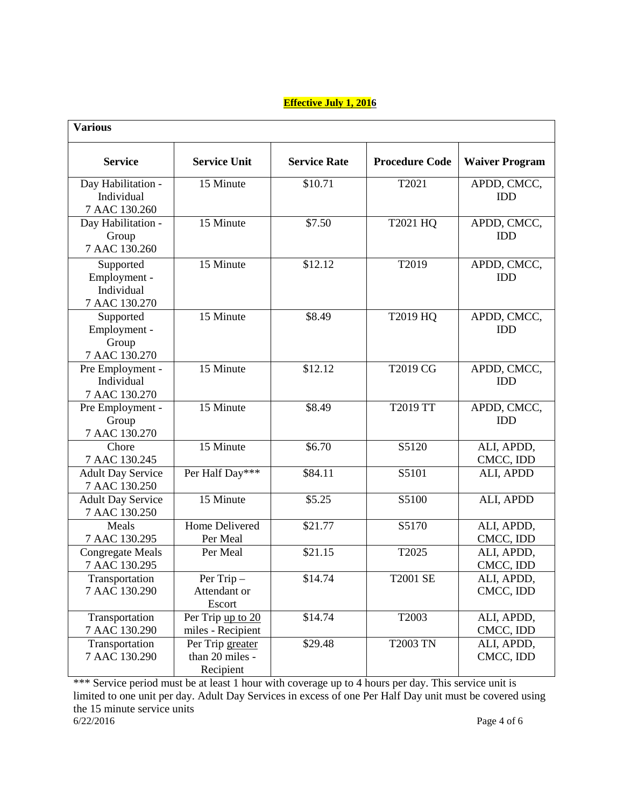| <b>Various</b>                                           |                                                    |                     |                       |                           |
|----------------------------------------------------------|----------------------------------------------------|---------------------|-----------------------|---------------------------|
| <b>Service</b>                                           | <b>Service Unit</b>                                | <b>Service Rate</b> | <b>Procedure Code</b> | <b>Waiver Program</b>     |
| Day Habilitation -<br>Individual<br>7 AAC 130.260        | 15 Minute                                          | \$10.71             | T2021                 | APDD, CMCC,<br><b>IDD</b> |
| Day Habilitation -<br>Group<br>7 AAC 130.260             | 15 Minute                                          | \$7.50              | T2021 HQ              | APDD, CMCC,<br><b>IDD</b> |
| Supported<br>Employment -<br>Individual<br>7 AAC 130.270 | 15 Minute                                          | \$12.12             | T2019                 | APDD, CMCC,<br><b>IDD</b> |
| Supported<br>Employment -<br>Group<br>7 AAC 130.270      | 15 Minute                                          | \$8.49              | T2019 HQ              | APDD, CMCC,<br><b>IDD</b> |
| Pre Employment -<br>Individual<br>7 AAC 130.270          | 15 Minute                                          | \$12.12             | T2019 CG              | APDD, CMCC,<br><b>IDD</b> |
| Pre Employment -<br>Group<br>7 AAC 130.270               | 15 Minute                                          | \$8.49              | T2019 TT              | APDD, CMCC,<br><b>IDD</b> |
| Chore<br>7 AAC 130.245                                   | 15 Minute                                          | \$6.70              | S5120                 | ALI, APDD,<br>CMCC, IDD   |
| <b>Adult Day Service</b><br>7 AAC 130.250                | Per Half Day***                                    | \$84.11             | S5101                 | ALI, APDD                 |
| <b>Adult Day Service</b><br>7 AAC 130.250                | 15 Minute                                          | \$5.25              | S5100                 | ALI, APDD                 |
| Meals<br>7 AAC 130.295                                   | <b>Home Delivered</b><br>Per Meal                  | \$21.77             | S5170                 | ALI, APDD,<br>CMCC, IDD   |
| <b>Congregate Meals</b><br>7 AAC 130.295                 | Per Meal                                           | \$21.15             | T2025                 | ALI, APDD,<br>CMCC, IDD   |
| Transportation<br>7 AAC 130.290                          | $\overline{P}$ er Trip –<br>Attendant or<br>Escort | \$14.74             | <b>T2001 SE</b>       | ALI, APDD,<br>CMCC, IDD   |
| Transportation<br>7 AAC 130.290                          | Per Trip up to 20<br>miles - Recipient             | \$14.74             | T2003                 | ALI, APDD,<br>CMCC, IDD   |
| Transportation<br>7 AAC 130.290                          | Per Trip greater<br>than 20 miles -<br>Recipient   | \$29.48             | <b>T2003 TN</b>       | ALI, APDD,<br>CMCC, IDD   |

\*\*\* Service period must be at least 1 hour with coverage up to 4 hours per day. This service unit is limited to one unit per day. Adult Day Services in excess of one Per Half Day unit must be covered using the 15 minute service units 6/22/2016 Page 4 of 6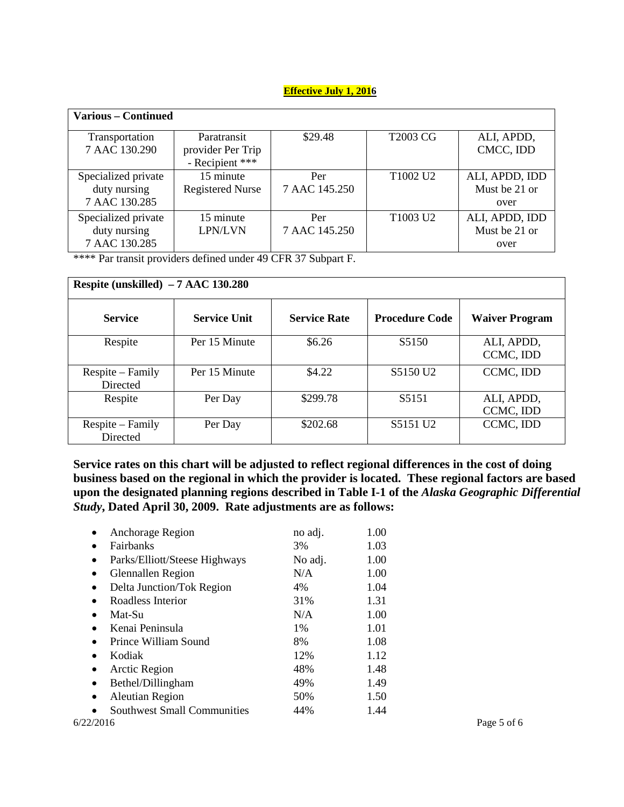| <b>Various – Continued</b>                           |                                                     |                      |                                  |                                         |
|------------------------------------------------------|-----------------------------------------------------|----------------------|----------------------------------|-----------------------------------------|
| Transportation<br>7 AAC 130.290                      | Paratransit<br>provider Per Trip<br>- Recipient *** | \$29.48              | <b>T2003 CG</b>                  | ALI, APDD,<br>CMCC, IDD                 |
| Specialized private<br>duty nursing<br>7 AAC 130.285 | 15 minute<br><b>Registered Nurse</b>                | Per<br>7 AAC 145.250 | T <sub>1002</sub> U <sub>2</sub> | ALI, APDD, IDD<br>Must be 21 or<br>over |
| Specialized private<br>duty nursing<br>7 AAC 130.285 | 15 minute<br><b>LPN/LVN</b>                         | Per<br>7 AAC 145.250 | T <sub>1003</sub> U <sub>2</sub> | ALI, APDD, IDD<br>Must be 21 or<br>over |

\*\*\*\* Par transit providers defined under 49 CFR 37 Subpart F.

| Respite (unskilled) $-7$ AAC 130.280 |                     |                     |                       |                         |
|--------------------------------------|---------------------|---------------------|-----------------------|-------------------------|
| <b>Service</b>                       | <b>Service Unit</b> | <b>Service Rate</b> | <b>Procedure Code</b> | <b>Waiver Program</b>   |
| Respite                              | Per 15 Minute       | \$6.26              | S5150                 | ALI, APDD,<br>CCMC, IDD |
| Respite – Family<br>Directed         | Per 15 Minute       | \$4.22              | S5150 U <sub>2</sub>  | CCMC, IDD               |
| Respite                              | Per Day             | \$299.78            | S5151                 | ALI, APDD,<br>CCMC, IDD |
| Respite – Family<br>Directed         | Per Day             | \$202.68            | S5151 U2              | CCMC, IDD               |

**Service rates on this chart will be adjusted to reflect regional differences in the cost of doing business based on the regional in which the provider is located. These regional factors are based upon the designated planning regions described in Table I-1 of the** *Alaska Geographic Differential Study***, Dated April 30, 2009. Rate adjustments are as follows:** 

| Anchorage Region<br>$\bullet$                   | no adj. | 1.00 |             |
|-------------------------------------------------|---------|------|-------------|
| <b>Fairbanks</b><br>٠                           | 3%      | 1.03 |             |
| Parks/Elliott/Steese Highways<br>$\bullet$      | No adj. | 1.00 |             |
| Glennallen Region<br>$\bullet$                  | N/A     | 1.00 |             |
| Delta Junction/Tok Region<br>$\bullet$          | 4%      | 1.04 |             |
| Roadless Interior<br>$\bullet$                  | 31%     | 1.31 |             |
| Mat-Su<br>$\bullet$                             | N/A     | 1.00 |             |
| Kenai Peninsula                                 | 1%      | 1.01 |             |
| Prince William Sound                            | 8%      | 1.08 |             |
| Kodiak                                          | 12%     | 1.12 |             |
| Arctic Region<br>٠                              | 48%     | 1.48 |             |
| Bethel/Dillingham<br>٠                          | 49%     | 1.49 |             |
| <b>Aleutian Region</b><br>٠                     | 50%     | 1.50 |             |
| <b>Southwest Small Communities</b><br>$\bullet$ | 44%     | 1.44 |             |
| 6/22/2016                                       |         |      | Page 5 of 6 |